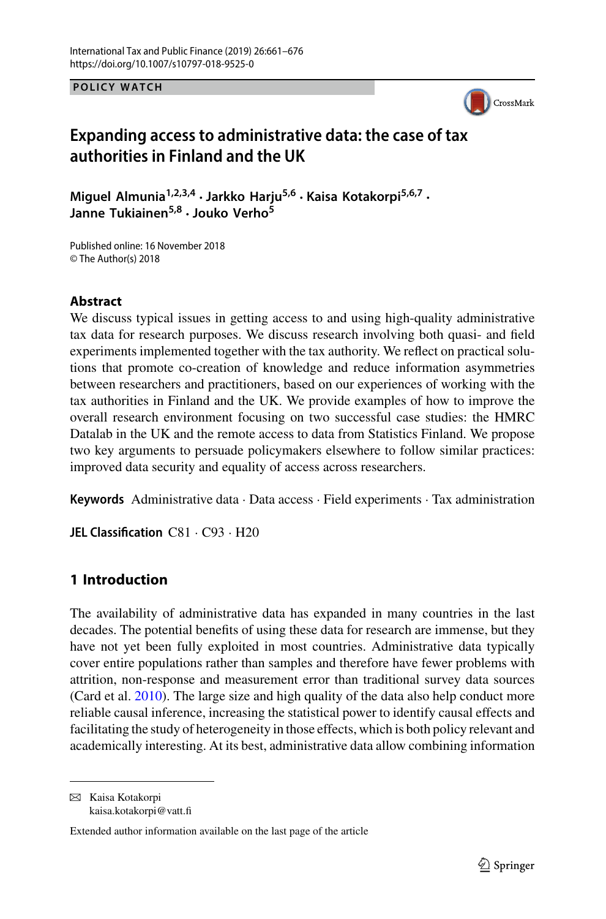**POLICY WATCH POLICY WATCH**



# **Expanding access to administrative data: the case of tax authorities in Finland and the UK**

**Miguel Almunia1,2,3,4 · Jarkko Harju5,6 · Kaisa Kotakorpi5,6,7 · Janne Tukiainen5,8 · Jouko Verho<sup>5</sup>**

Published online: 16 November 2018 © The Author(s) 2018

# **Abstract**

We discuss typical issues in getting access to and using high-quality administrative tax data for research purposes. We discuss research involving both quasi- and field experiments implemented together with the tax authority. We reflect on practical solutions that promote co-creation of knowledge and reduce information asymmetries between researchers and practitioners, based on our experiences of working with the tax authorities in Finland and the UK. We provide examples of how to improve the overall research environment focusing on two successful case studies: the HMRC Datalab in the UK and the remote access to data from Statistics Finland. We propose two key arguments to persuade policymakers elsewhere to follow similar practices: improved data security and equality of access across researchers.

**Keywords** Administrative data · Data access · Field experiments · Tax administration

**JEL Classification** C81 · C93 · H20

# **1 Introduction**

The availability of administrative data has expanded in many countries in the last decades. The potential benefits of using these data for research are immense, but they have not yet been fully exploited in most countries. Administrative data typically cover entire populations rather than samples and therefore have fewer problems with attrition, non-response and measurement error than traditional survey data sources (Card et al. [2010\)](#page-14-0). The large size and high quality of the data also help conduct more reliable causal inference, increasing the statistical power to identify causal effects and facilitating the study of heterogeneity in those effects, which is both policy relevant and academically interesting. At its best, administrative data allow combining information

B Kaisa Kotakorpi kaisa.kotakorpi@vatt.fi

Extended author information available on the last page of the article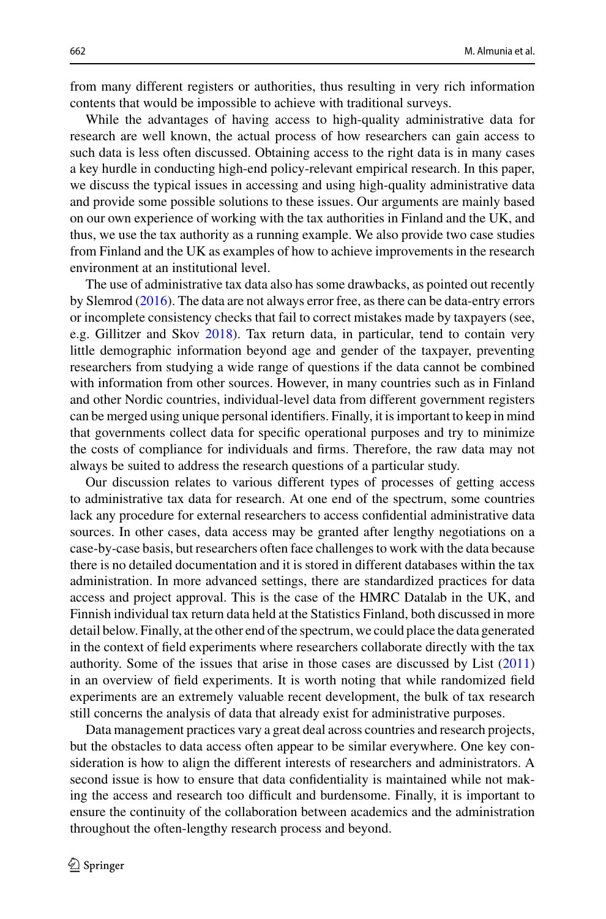from many different registers or authorities, thus resulting in very rich information contents that would be impossible to achieve with traditional surveys.

While the advantages of having access to high-quality administrative data for research are well known, the actual process of how researchers can gain access to such data is less often discussed. Obtaining access to the right data is in many cases a key hurdle in conducting high-end policy-relevant empirical research. In this paper, we discuss the typical issues in accessing and using high-quality administrative data and provide some possible solutions to these issues. Our arguments are mainly based on our own experience of working with the tax authorities in Finland and the UK, and thus, we use the tax authority as a running example. We also provide two case studies from Finland and the UK as examples of how to achieve improvements in the research environment at an institutional level.

The use of administrative tax data also has some drawbacks, as pointed out recently by Slemrod [\(2016\)](#page-15-0). The data are not always error free, as there can be data-entry errors or incomplete consistency checks that fail to correct mistakes made by taxpayers (see, e.g. Gillitzer and Skov [2018\)](#page-14-1). Tax return data, in particular, tend to contain very little demographic information beyond age and gender of the taxpayer, preventing researchers from studying a wide range of questions if the data cannot be combined with information from other sources. However, in many countries such as in Finland and other Nordic countries, individual-level data from different government registers can be merged using unique personal identifiers. Finally, it is important to keep in mind that governments collect data for specific operational purposes and try to minimize the costs of compliance for individuals and firms. Therefore, the raw data may not always be suited to address the research questions of a particular study.

Our discussion relates to various different types of processes of getting access to administrative tax data for research. At one end of the spectrum, some countries lack any procedure for external researchers to access confidential administrative data sources. In other cases, data access may be granted after lengthy negotiations on a case-by-case basis, but researchers often face challenges to work with the data because there is no detailed documentation and it is stored in different databases within the tax administration. In more advanced settings, there are standardized practices for data access and project approval. This is the case of the HMRC Datalab in the UK, and Finnish individual tax return data held at the Statistics Finland, both discussed in more detail below. Finally, at the other end of the spectrum, we could place the data generated in the context of field experiments where researchers collaborate directly with the tax authority. Some of the issues that arise in those cases are discussed by List [\(2011\)](#page-15-1) in an overview of field experiments. It is worth noting that while randomized field experiments are an extremely valuable recent development, the bulk of tax research still concerns the analysis of data that already exist for administrative purposes.

Data management practices vary a great deal across countries and research projects, but the obstacles to data access often appear to be similar everywhere. One key consideration is how to align the different interests of researchers and administrators. A second issue is how to ensure that data confidentiality is maintained while not making the access and research too difficult and burdensome. Finally, it is important to ensure the continuity of the collaboration between academics and the administration throughout the often-lengthy research process and beyond.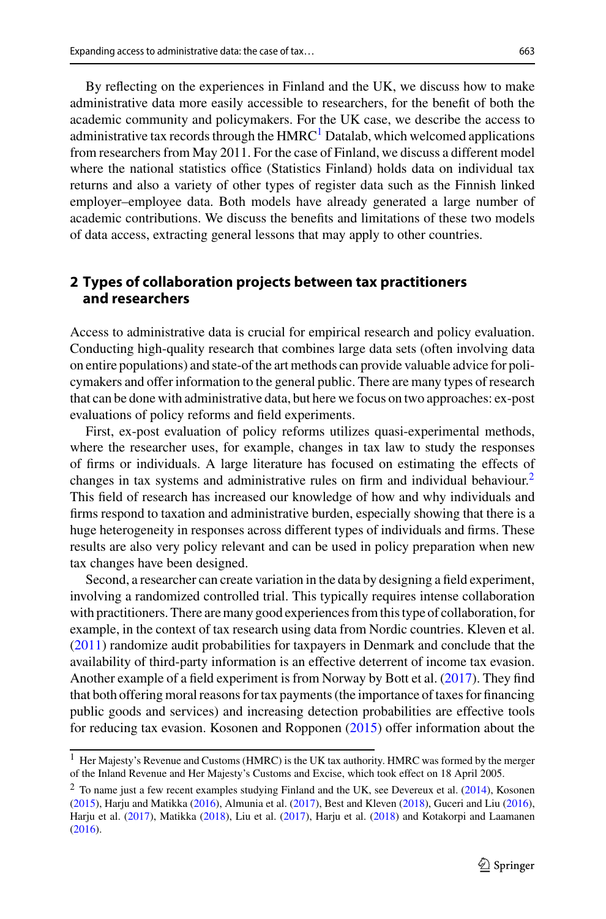By reflecting on the experiences in Finland and the UK, we discuss how to make administrative data more easily accessible to researchers, for the benefit of both the academic community and policymakers. For the UK case, we describe the access to administrative tax records through the  $HMRC<sup>1</sup>$  Datalab, which welcomed applications from researchers from May 2011. For the case of Finland, we discuss a different model where the national statistics office (Statistics Finland) holds data on individual tax returns and also a variety of other types of register data such as the Finnish linked employer–employee data. Both models have already generated a large number of academic contributions. We discuss the benefits and limitations of these two models of data access, extracting general lessons that may apply to other countries.

# **2 Types of collaboration projects between tax practitioners and researchers**

Access to administrative data is crucial for empirical research and policy evaluation. Conducting high-quality research that combines large data sets (often involving data on entire populations) and state-of the art methods can provide valuable advice for policymakers and offer information to the general public. There are many types of research that can be done with administrative data, but here we focus on two approaches: ex-post evaluations of policy reforms and field experiments.

First, ex-post evaluation of policy reforms utilizes quasi-experimental methods, where the researcher uses, for example, changes in tax law to study the responses of firms or individuals. A large literature has focused on estimating the effects of changes in tax systems and administrative rules on firm and individual behaviour.<sup>2</sup> This field of research has increased our knowledge of how and why individuals and firms respond to taxation and administrative burden, especially showing that there is a huge heterogeneity in responses across different types of individuals and firms. These results are also very policy relevant and can be used in policy preparation when new tax changes have been designed.

Second, a researcher can create variation in the data by designing a field experiment, involving a randomized controlled trial. This typically requires intense collaboration with practitioners. There are many good experiences from this type of collaboration, for example, in the context of tax research using data from Nordic countries. Kleven et al. [\(2011\)](#page-15-2) randomize audit probabilities for taxpayers in Denmark and conclude that the availability of third-party information is an effective deterrent of income tax evasion. Another example of a field experiment is from Norway by Bott et al. [\(2017\)](#page-14-2). They find that both offering moral reasons for tax payments (the importance of taxes for financing public goods and services) and increasing detection probabilities are effective tools for reducing tax evasion. Kosonen and Ropponen [\(2015\)](#page-15-3) offer information about the

<span id="page-2-0"></span><sup>1</sup> Her Majesty's Revenue and Customs (HMRC) is the UK tax authority. HMRC was formed by the merger of the Inland Revenue and Her Majesty's Customs and Excise, which took effect on 18 April 2005.

<span id="page-2-1"></span><sup>&</sup>lt;sup>2</sup> To name just a few recent examples studying Finland and the UK, see Devereux et al. [\(2014\)](#page-14-3), Kosonen [\(2015\)](#page-15-4), Harju and Matikka [\(2016\)](#page-14-4), Almunia et al. [\(2017\)](#page-14-5), Best and Kleven [\(2018\)](#page-14-6), Guceri and Liu [\(2016\)](#page-14-7), Harju et al. [\(2017\)](#page-15-5), Matikka [\(2018\)](#page-15-6), Liu et al. [\(2017\)](#page-15-7), Harju et al. [\(2018\)](#page-14-8) and Kotakorpi and Laamanen [\(2016\)](#page-15-8).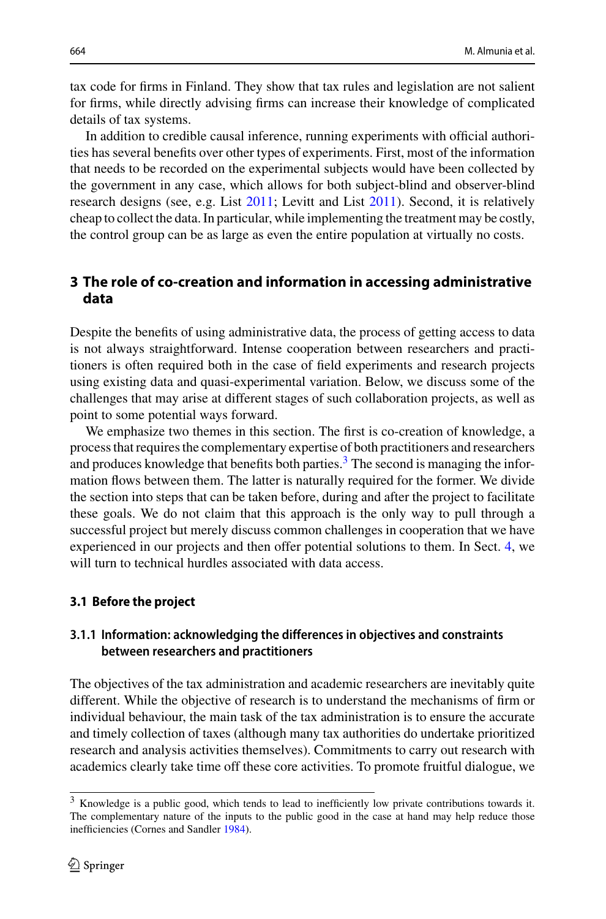tax code for firms in Finland. They show that tax rules and legislation are not salient for firms, while directly advising firms can increase their knowledge of complicated details of tax systems.

In addition to credible causal inference, running experiments with official authorities has several benefits over other types of experiments. First, most of the information that needs to be recorded on the experimental subjects would have been collected by the government in any case, which allows for both subject-blind and observer-blind research designs (see, e.g. List [2011;](#page-15-1) Levitt and List [2011\)](#page-15-9). Second, it is relatively cheap to collect the data. In particular, while implementing the treatment may be costly, the control group can be as large as even the entire population at virtually no costs.

# **3 The role of co-creation and information in accessing administrative data**

Despite the benefits of using administrative data, the process of getting access to data is not always straightforward. Intense cooperation between researchers and practitioners is often required both in the case of field experiments and research projects using existing data and quasi-experimental variation. Below, we discuss some of the challenges that may arise at different stages of such collaboration projects, as well as point to some potential ways forward.

We emphasize two themes in this section. The first is co-creation of knowledge, a process that requires the complementary expertise of both practitioners and researchers and produces knowledge that benefits both parties.<sup>3</sup> The second is managing the information flows between them. The latter is naturally required for the former. We divide the section into steps that can be taken before, during and after the project to facilitate these goals. We do not claim that this approach is the only way to pull through a successful project but merely discuss common challenges in cooperation that we have experienced in our projects and then offer potential solutions to them. In Sect. [4,](#page-9-0) we will turn to technical hurdles associated with data access.

#### **3.1 Before the project**

# **3.1.1 Information: acknowledging the differences in objectives and constraints between researchers and practitioners**

The objectives of the tax administration and academic researchers are inevitably quite different. While the objective of research is to understand the mechanisms of firm or individual behaviour, the main task of the tax administration is to ensure the accurate and timely collection of taxes (although many tax authorities do undertake prioritized research and analysis activities themselves). Commitments to carry out research with academics clearly take time off these core activities. To promote fruitful dialogue, we

<span id="page-3-0"></span><sup>3</sup> Knowledge is a public good, which tends to lead to inefficiently low private contributions towards it. The complementary nature of the inputs to the public good in the case at hand may help reduce those inefficiencies (Cornes and Sandler [1984\)](#page-14-9).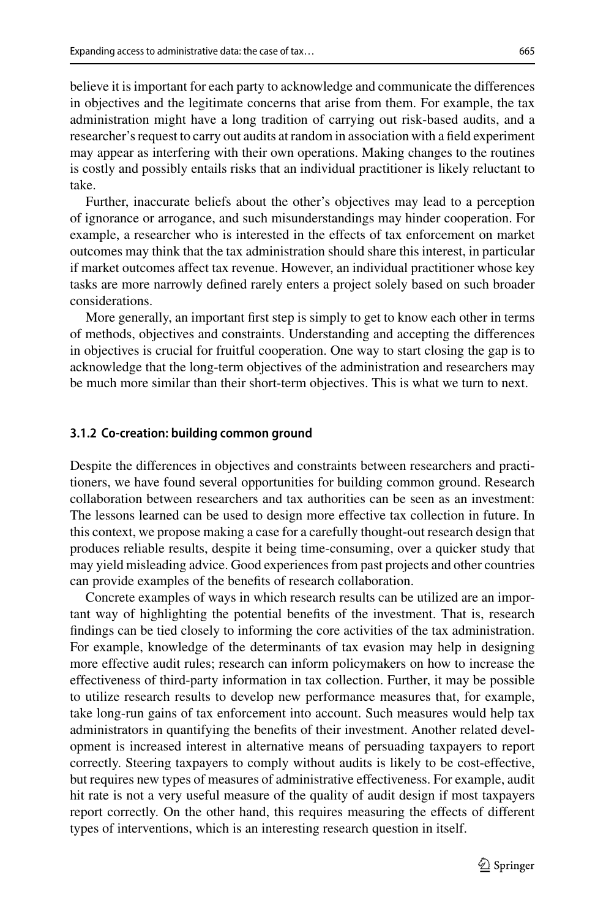believe it is important for each party to acknowledge and communicate the differences in objectives and the legitimate concerns that arise from them. For example, the tax administration might have a long tradition of carrying out risk-based audits, and a researcher's request to carry out audits at random in association with a field experiment may appear as interfering with their own operations. Making changes to the routines is costly and possibly entails risks that an individual practitioner is likely reluctant to take.

Further, inaccurate beliefs about the other's objectives may lead to a perception of ignorance or arrogance, and such misunderstandings may hinder cooperation. For example, a researcher who is interested in the effects of tax enforcement on market outcomes may think that the tax administration should share this interest, in particular if market outcomes affect tax revenue. However, an individual practitioner whose key tasks are more narrowly defined rarely enters a project solely based on such broader considerations.

More generally, an important first step is simply to get to know each other in terms of methods, objectives and constraints. Understanding and accepting the differences in objectives is crucial for fruitful cooperation. One way to start closing the gap is to acknowledge that the long-term objectives of the administration and researchers may be much more similar than their short-term objectives. This is what we turn to next.

#### **3.1.2 Co-creation: building common ground**

Despite the differences in objectives and constraints between researchers and practitioners, we have found several opportunities for building common ground. Research collaboration between researchers and tax authorities can be seen as an investment: The lessons learned can be used to design more effective tax collection in future. In this context, we propose making a case for a carefully thought-out research design that produces reliable results, despite it being time-consuming, over a quicker study that may yield misleading advice. Good experiences from past projects and other countries can provide examples of the benefits of research collaboration.

Concrete examples of ways in which research results can be utilized are an important way of highlighting the potential benefits of the investment. That is, research findings can be tied closely to informing the core activities of the tax administration. For example, knowledge of the determinants of tax evasion may help in designing more effective audit rules; research can inform policymakers on how to increase the effectiveness of third-party information in tax collection. Further, it may be possible to utilize research results to develop new performance measures that, for example, take long-run gains of tax enforcement into account. Such measures would help tax administrators in quantifying the benefits of their investment. Another related development is increased interest in alternative means of persuading taxpayers to report correctly. Steering taxpayers to comply without audits is likely to be cost-effective, but requires new types of measures of administrative effectiveness. For example, audit hit rate is not a very useful measure of the quality of audit design if most taxpayers report correctly. On the other hand, this requires measuring the effects of different types of interventions, which is an interesting research question in itself.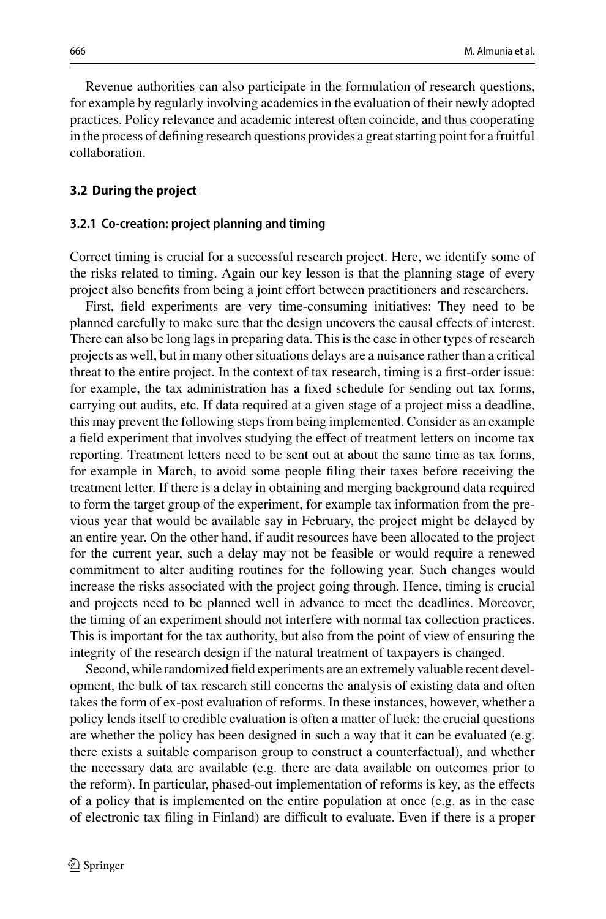Revenue authorities can also participate in the formulation of research questions, for example by regularly involving academics in the evaluation of their newly adopted practices. Policy relevance and academic interest often coincide, and thus cooperating in the process of defining research questions provides a great starting point for a fruitful collaboration.

#### **3.2 During the project**

#### **3.2.1 Co-creation: project planning and timing**

Correct timing is crucial for a successful research project. Here, we identify some of the risks related to timing. Again our key lesson is that the planning stage of every project also benefits from being a joint effort between practitioners and researchers.

First, field experiments are very time-consuming initiatives: They need to be planned carefully to make sure that the design uncovers the causal effects of interest. There can also be long lags in preparing data. This is the case in other types of research projects as well, but in many other situations delays are a nuisance rather than a critical threat to the entire project. In the context of tax research, timing is a first-order issue: for example, the tax administration has a fixed schedule for sending out tax forms, carrying out audits, etc. If data required at a given stage of a project miss a deadline, this may prevent the following steps from being implemented. Consider as an example a field experiment that involves studying the effect of treatment letters on income tax reporting. Treatment letters need to be sent out at about the same time as tax forms, for example in March, to avoid some people filing their taxes before receiving the treatment letter. If there is a delay in obtaining and merging background data required to form the target group of the experiment, for example tax information from the previous year that would be available say in February, the project might be delayed by an entire year. On the other hand, if audit resources have been allocated to the project for the current year, such a delay may not be feasible or would require a renewed commitment to alter auditing routines for the following year. Such changes would increase the risks associated with the project going through. Hence, timing is crucial and projects need to be planned well in advance to meet the deadlines. Moreover, the timing of an experiment should not interfere with normal tax collection practices. This is important for the tax authority, but also from the point of view of ensuring the integrity of the research design if the natural treatment of taxpayers is changed.

Second, while randomized field experiments are an extremely valuable recent development, the bulk of tax research still concerns the analysis of existing data and often takes the form of ex-post evaluation of reforms. In these instances, however, whether a policy lends itself to credible evaluation is often a matter of luck: the crucial questions are whether the policy has been designed in such a way that it can be evaluated (e.g. there exists a suitable comparison group to construct a counterfactual), and whether the necessary data are available (e.g. there are data available on outcomes prior to the reform). In particular, phased-out implementation of reforms is key, as the effects of a policy that is implemented on the entire population at once (e.g. as in the case of electronic tax filing in Finland) are difficult to evaluate. Even if there is a proper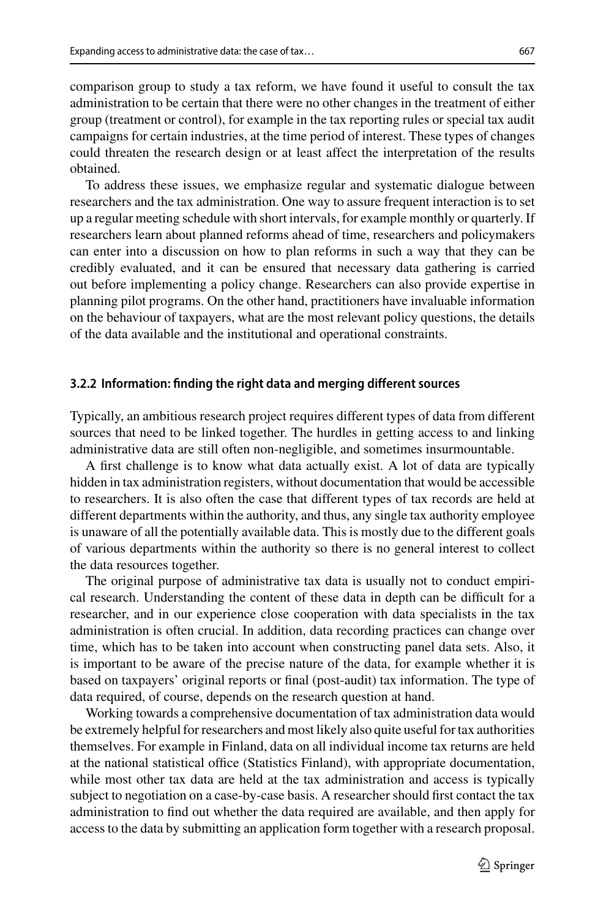comparison group to study a tax reform, we have found it useful to consult the tax administration to be certain that there were no other changes in the treatment of either group (treatment or control), for example in the tax reporting rules or special tax audit campaigns for certain industries, at the time period of interest. These types of changes could threaten the research design or at least affect the interpretation of the results obtained.

To address these issues, we emphasize regular and systematic dialogue between researchers and the tax administration. One way to assure frequent interaction is to set up a regular meeting schedule with short intervals, for example monthly or quarterly. If researchers learn about planned reforms ahead of time, researchers and policymakers can enter into a discussion on how to plan reforms in such a way that they can be credibly evaluated, and it can be ensured that necessary data gathering is carried out before implementing a policy change. Researchers can also provide expertise in planning pilot programs. On the other hand, practitioners have invaluable information on the behaviour of taxpayers, what are the most relevant policy questions, the details of the data available and the institutional and operational constraints.

### **3.2.2 Information: finding the right data and merging different sources**

Typically, an ambitious research project requires different types of data from different sources that need to be linked together. The hurdles in getting access to and linking administrative data are still often non-negligible, and sometimes insurmountable.

A first challenge is to know what data actually exist. A lot of data are typically hidden in tax administration registers, without documentation that would be accessible to researchers. It is also often the case that different types of tax records are held at different departments within the authority, and thus, any single tax authority employee is unaware of all the potentially available data. This is mostly due to the different goals of various departments within the authority so there is no general interest to collect the data resources together.

The original purpose of administrative tax data is usually not to conduct empirical research. Understanding the content of these data in depth can be difficult for a researcher, and in our experience close cooperation with data specialists in the tax administration is often crucial. In addition, data recording practices can change over time, which has to be taken into account when constructing panel data sets. Also, it is important to be aware of the precise nature of the data, for example whether it is based on taxpayers' original reports or final (post-audit) tax information. The type of data required, of course, depends on the research question at hand.

Working towards a comprehensive documentation of tax administration data would be extremely helpful for researchers and most likely also quite useful for tax authorities themselves. For example in Finland, data on all individual income tax returns are held at the national statistical office (Statistics Finland), with appropriate documentation, while most other tax data are held at the tax administration and access is typically subject to negotiation on a case-by-case basis. A researcher should first contact the tax administration to find out whether the data required are available, and then apply for access to the data by submitting an application form together with a research proposal.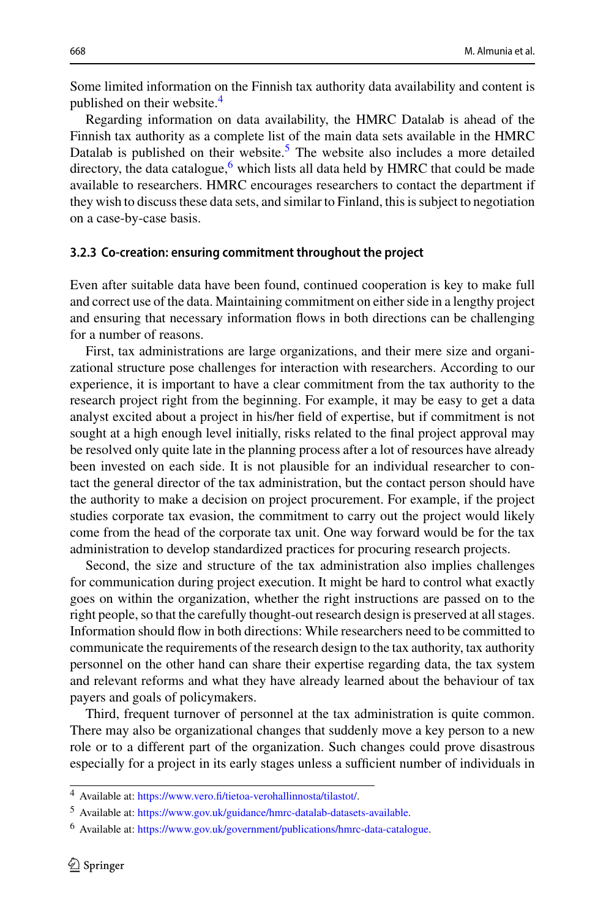Some limited information on the Finnish tax authority data availability and content is published on their website.<sup>[4](#page-7-0)</sup>

Regarding information on data availability, the HMRC Datalab is ahead of the Finnish tax authority as a complete list of the main data sets available in the HMRC Datalab is published on their website.<sup>[5](#page-7-1)</sup> The website also includes a more detailed directory, the data catalogue, $6$  which lists all data held by HMRC that could be made available to researchers. HMRC encourages researchers to contact the department if they wish to discuss these data sets, and similar to Finland, this is subject to negotiation on a case-by-case basis.

#### **3.2.3 Co-creation: ensuring commitment throughout the project**

Even after suitable data have been found, continued cooperation is key to make full and correct use of the data. Maintaining commitment on either side in a lengthy project and ensuring that necessary information flows in both directions can be challenging for a number of reasons.

First, tax administrations are large organizations, and their mere size and organizational structure pose challenges for interaction with researchers. According to our experience, it is important to have a clear commitment from the tax authority to the research project right from the beginning. For example, it may be easy to get a data analyst excited about a project in his/her field of expertise, but if commitment is not sought at a high enough level initially, risks related to the final project approval may be resolved only quite late in the planning process after a lot of resources have already been invested on each side. It is not plausible for an individual researcher to contact the general director of the tax administration, but the contact person should have the authority to make a decision on project procurement. For example, if the project studies corporate tax evasion, the commitment to carry out the project would likely come from the head of the corporate tax unit. One way forward would be for the tax administration to develop standardized practices for procuring research projects.

Second, the size and structure of the tax administration also implies challenges for communication during project execution. It might be hard to control what exactly goes on within the organization, whether the right instructions are passed on to the right people, so that the carefully thought-out research design is preserved at all stages. Information should flow in both directions: While researchers need to be committed to communicate the requirements of the research design to the tax authority, tax authority personnel on the other hand can share their expertise regarding data, the tax system and relevant reforms and what they have already learned about the behaviour of tax payers and goals of policymakers.

Third, frequent turnover of personnel at the tax administration is quite common. There may also be organizational changes that suddenly move a key person to a new role or to a different part of the organization. Such changes could prove disastrous especially for a project in its early stages unless a sufficient number of individuals in

<span id="page-7-0"></span><sup>4</sup> Available at: [https://www.vero.fi/tietoa-verohallinnosta/tilastot/.](https://www.vero.fi/tietoa-verohallinnosta/tilastot/)

<span id="page-7-1"></span><sup>5</sup> Available at: [https://www.gov.uk/guidance/hmrc-datalab-datasets-available.](https://www.gov.uk/guidance/hmrc-datalab-datasets-available)

<span id="page-7-2"></span><sup>6</sup> Available at: [https://www.gov.uk/government/publications/hmrc-data-catalogue.](https://www.gov.uk/government/publications/hmrc-data-catalogue)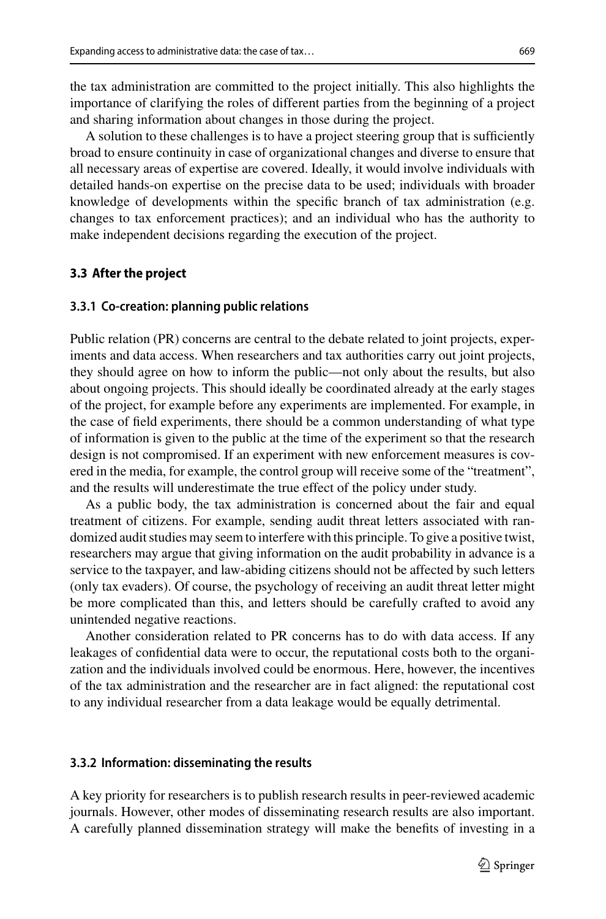the tax administration are committed to the project initially. This also highlights the importance of clarifying the roles of different parties from the beginning of a project and sharing information about changes in those during the project.

A solution to these challenges is to have a project steering group that is sufficiently broad to ensure continuity in case of organizational changes and diverse to ensure that all necessary areas of expertise are covered. Ideally, it would involve individuals with detailed hands-on expertise on the precise data to be used; individuals with broader knowledge of developments within the specific branch of tax administration (e.g. changes to tax enforcement practices); and an individual who has the authority to make independent decisions regarding the execution of the project.

#### **3.3 After the project**

#### **3.3.1 Co-creation: planning public relations**

Public relation (PR) concerns are central to the debate related to joint projects, experiments and data access. When researchers and tax authorities carry out joint projects, they should agree on how to inform the public—not only about the results, but also about ongoing projects. This should ideally be coordinated already at the early stages of the project, for example before any experiments are implemented. For example, in the case of field experiments, there should be a common understanding of what type of information is given to the public at the time of the experiment so that the research design is not compromised. If an experiment with new enforcement measures is covered in the media, for example, the control group will receive some of the "treatment", and the results will underestimate the true effect of the policy under study.

As a public body, the tax administration is concerned about the fair and equal treatment of citizens. For example, sending audit threat letters associated with randomized audit studies may seem to interfere with this principle. To give a positive twist, researchers may argue that giving information on the audit probability in advance is a service to the taxpayer, and law-abiding citizens should not be affected by such letters (only tax evaders). Of course, the psychology of receiving an audit threat letter might be more complicated than this, and letters should be carefully crafted to avoid any unintended negative reactions.

Another consideration related to PR concerns has to do with data access. If any leakages of confidential data were to occur, the reputational costs both to the organization and the individuals involved could be enormous. Here, however, the incentives of the tax administration and the researcher are in fact aligned: the reputational cost to any individual researcher from a data leakage would be equally detrimental.

#### **3.3.2 Information: disseminating the results**

A key priority for researchers is to publish research results in peer-reviewed academic journals. However, other modes of disseminating research results are also important. A carefully planned dissemination strategy will make the benefits of investing in a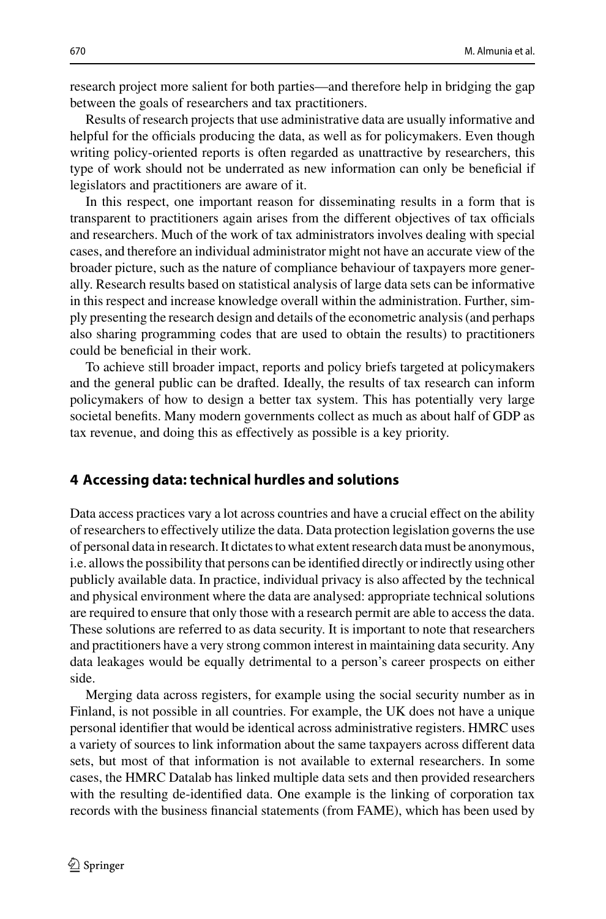research project more salient for both parties—and therefore help in bridging the gap between the goals of researchers and tax practitioners.

Results of research projects that use administrative data are usually informative and helpful for the officials producing the data, as well as for policymakers. Even though writing policy-oriented reports is often regarded as unattractive by researchers, this type of work should not be underrated as new information can only be beneficial if legislators and practitioners are aware of it.

In this respect, one important reason for disseminating results in a form that is transparent to practitioners again arises from the different objectives of tax officials and researchers. Much of the work of tax administrators involves dealing with special cases, and therefore an individual administrator might not have an accurate view of the broader picture, such as the nature of compliance behaviour of taxpayers more generally. Research results based on statistical analysis of large data sets can be informative in this respect and increase knowledge overall within the administration. Further, simply presenting the research design and details of the econometric analysis (and perhaps also sharing programming codes that are used to obtain the results) to practitioners could be beneficial in their work.

To achieve still broader impact, reports and policy briefs targeted at policymakers and the general public can be drafted. Ideally, the results of tax research can inform policymakers of how to design a better tax system. This has potentially very large societal benefits. Many modern governments collect as much as about half of GDP as tax revenue, and doing this as effectively as possible is a key priority.

### <span id="page-9-0"></span>**4 Accessing data: technical hurdles and solutions**

Data access practices vary a lot across countries and have a crucial effect on the ability of researchers to effectively utilize the data. Data protection legislation governs the use of personal data in research. It dictates to what extent research data must be anonymous, i.e. allows the possibility that persons can be identified directly or indirectly using other publicly available data. In practice, individual privacy is also affected by the technical and physical environment where the data are analysed: appropriate technical solutions are required to ensure that only those with a research permit are able to access the data. These solutions are referred to as data security. It is important to note that researchers and practitioners have a very strong common interest in maintaining data security. Any data leakages would be equally detrimental to a person's career prospects on either side.

Merging data across registers, for example using the social security number as in Finland, is not possible in all countries. For example, the UK does not have a unique personal identifier that would be identical across administrative registers. HMRC uses a variety of sources to link information about the same taxpayers across different data sets, but most of that information is not available to external researchers. In some cases, the HMRC Datalab has linked multiple data sets and then provided researchers with the resulting de-identified data. One example is the linking of corporation tax records with the business financial statements (from FAME), which has been used by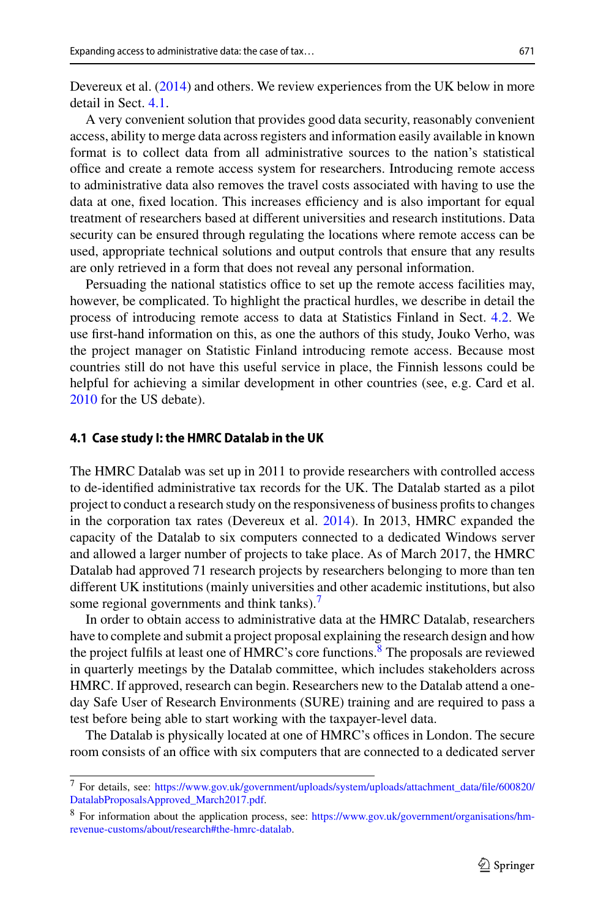Devereux et al. [\(2014\)](#page-14-3) and others. We review experiences from the UK below in more detail in Sect. [4.1.](#page-10-0)

A very convenient solution that provides good data security, reasonably convenient access, ability to merge data across registers and information easily available in known format is to collect data from all administrative sources to the nation's statistical office and create a remote access system for researchers. Introducing remote access to administrative data also removes the travel costs associated with having to use the data at one, fixed location. This increases efficiency and is also important for equal treatment of researchers based at different universities and research institutions. Data security can be ensured through regulating the locations where remote access can be used, appropriate technical solutions and output controls that ensure that any results are only retrieved in a form that does not reveal any personal information.

Persuading the national statistics office to set up the remote access facilities may, however, be complicated. To highlight the practical hurdles, we describe in detail the process of introducing remote access to data at Statistics Finland in Sect. [4.2.](#page-11-0) We use first-hand information on this, as one the authors of this study, Jouko Verho, was the project manager on Statistic Finland introducing remote access. Because most countries still do not have this useful service in place, the Finnish lessons could be helpful for achieving a similar development in other countries (see, e.g. Card et al. [2010](#page-14-0) for the US debate).

#### <span id="page-10-0"></span>**4.1 Case study I: the HMRC Datalab in the UK**

The HMRC Datalab was set up in 2011 to provide researchers with controlled access to de-identified administrative tax records for the UK. The Datalab started as a pilot project to conduct a research study on the responsiveness of business profits to changes in the corporation tax rates (Devereux et al. [2014\)](#page-14-3). In 2013, HMRC expanded the capacity of the Datalab to six computers connected to a dedicated Windows server and allowed a larger number of projects to take place. As of March 2017, the HMRC Datalab had approved 71 research projects by researchers belonging to more than ten different UK institutions (mainly universities and other academic institutions, but also some regional governments and think tanks).<sup>7</sup>

In order to obtain access to administrative data at the HMRC Datalab, researchers have to complete and submit a project proposal explaining the research design and how the project fulfils at least one of HMRC's core functions.<sup>[8](#page-10-2)</sup> The proposals are reviewed in quarterly meetings by the Datalab committee, which includes stakeholders across HMRC. If approved, research can begin. Researchers new to the Datalab attend a oneday Safe User of Research Environments (SURE) training and are required to pass a test before being able to start working with the taxpayer-level data.

The Datalab is physically located at one of HMRC's offices in London. The secure room consists of an office with six computers that are connected to a dedicated server

<span id="page-10-1"></span><sup>7</sup> For details, see: [https://www.gov.uk/government/uploads/system/uploads/attachment\\_data/file/600820/](https://www.gov.uk/government/uploads/system/uploads/attachment_data/file/600820/DatalabProposalsApproved_March2017.pdf) DatalabProposalsApproved\_March2017.pdf.

<span id="page-10-2"></span><sup>8</sup> [For information about the application process, see:](https://www.gov.uk/government/organisations/hm-revenue-customs/about/research#the-hmrc-datalab) https://www.gov.uk/government/organisations/hmrevenue-customs/about/research#the-hmrc-datalab.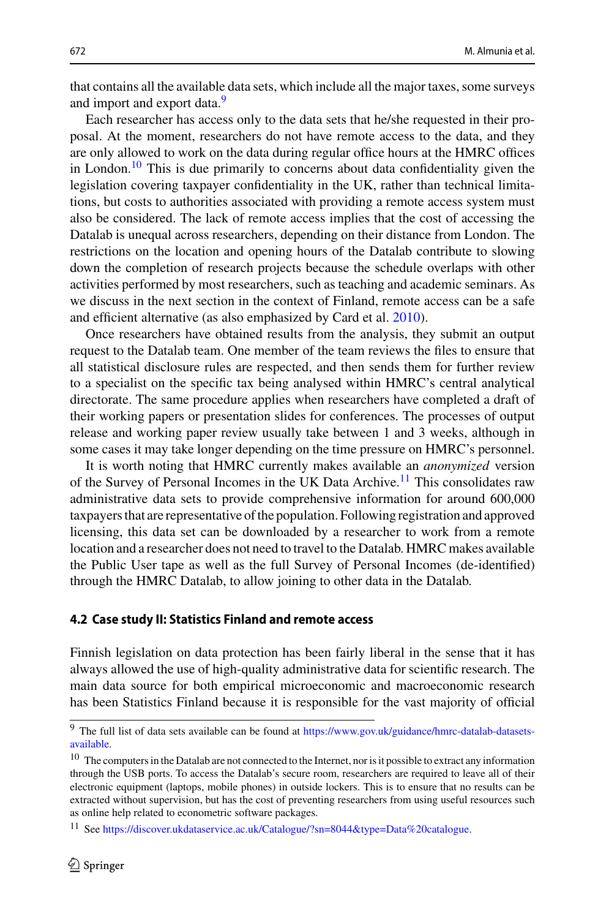that contains all the available data sets, which include all the major taxes, some surveys and import and export data.<sup>[9](#page-11-1)</sup>

Each researcher has access only to the data sets that he/she requested in their proposal. At the moment, researchers do not have remote access to the data, and they are only allowed to work on the data during regular office hours at the HMRC offices in London.<sup>[10](#page-11-2)</sup> This is due primarily to concerns about data confidentiality given the legislation covering taxpayer confidentiality in the UK, rather than technical limitations, but costs to authorities associated with providing a remote access system must also be considered. The lack of remote access implies that the cost of accessing the Datalab is unequal across researchers, depending on their distance from London. The restrictions on the location and opening hours of the Datalab contribute to slowing down the completion of research projects because the schedule overlaps with other activities performed by most researchers, such as teaching and academic seminars. As we discuss in the next section in the context of Finland, remote access can be a safe and efficient alternative (as also emphasized by Card et al. [2010\)](#page-14-0).

Once researchers have obtained results from the analysis, they submit an output request to the Datalab team. One member of the team reviews the files to ensure that all statistical disclosure rules are respected, and then sends them for further review to a specialist on the specific tax being analysed within HMRC's central analytical directorate. The same procedure applies when researchers have completed a draft of their working papers or presentation slides for conferences. The processes of output release and working paper review usually take between 1 and 3 weeks, although in some cases it may take longer depending on the time pressure on HMRC's personnel.

It is worth noting that HMRC currently makes available an *anonymized* version of the Survey of Personal Incomes in the UK Data Archive.<sup>[11](#page-11-3)</sup> This consolidates raw administrative data sets to provide comprehensive information for around 600,000 taxpayers that are representative of the population. Following registration and approved licensing, this data set can be downloaded by a researcher to work from a remote location and a researcher does not need to travel to the Datalab. HMRC makes available the Public User tape as well as the full Survey of Personal Incomes (de-identified) through the HMRC Datalab, to allow joining to other data in the Datalab.

#### <span id="page-11-0"></span>**4.2 Case study II: Statistics Finland and remote access**

Finnish legislation on data protection has been fairly liberal in the sense that it has always allowed the use of high-quality administrative data for scientific research. The main data source for both empirical microeconomic and macroeconomic research has been Statistics Finland because it is responsible for the vast majority of official

<span id="page-11-1"></span><sup>9</sup> The full list of data sets available can be found at [https://www.gov.uk/guidance/hmrc-datalab-datasets](https://www.gov.uk/guidance/hmrc-datalab-datasets-available)available.

<span id="page-11-2"></span> $10$  The computers in the Datalab are not connected to the Internet, nor is it possible to extract any information through the USB ports. To access the Datalab's secure room, researchers are required to leave all of their electronic equipment (laptops, mobile phones) in outside lockers. This is to ensure that no results can be extracted without supervision, but has the cost of preventing researchers from using useful resources such as online help related to econometric software packages.

<span id="page-11-3"></span><sup>&</sup>lt;sup>11</sup> See [https://discover.ukdataservice.ac.uk/Catalogue/?sn=8044&type=Data%20catalogue.](https://discover.ukdataservice.ac.uk/Catalogue/%3fsn%3d8044%26type%3dData%20catalogue)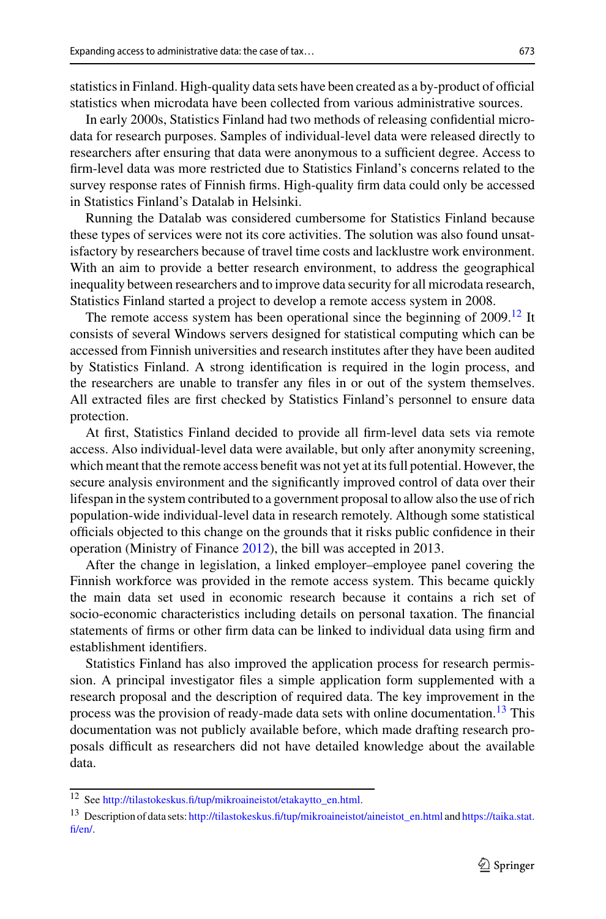statistics in Finland. High-quality data sets have been created as a by-product of official statistics when microdata have been collected from various administrative sources.

In early 2000s, Statistics Finland had two methods of releasing confidential microdata for research purposes. Samples of individual-level data were released directly to researchers after ensuring that data were anonymous to a sufficient degree. Access to firm-level data was more restricted due to Statistics Finland's concerns related to the survey response rates of Finnish firms. High-quality firm data could only be accessed in Statistics Finland's Datalab in Helsinki.

Running the Datalab was considered cumbersome for Statistics Finland because these types of services were not its core activities. The solution was also found unsatisfactory by researchers because of travel time costs and lacklustre work environment. With an aim to provide a better research environment, to address the geographical inequality between researchers and to improve data security for all microdata research, Statistics Finland started a project to develop a remote access system in 2008.

The remote access system has been operational since the beginning of  $2009$ .<sup>12</sup> It consists of several Windows servers designed for statistical computing which can be accessed from Finnish universities and research institutes after they have been audited by Statistics Finland. A strong identification is required in the login process, and the researchers are unable to transfer any files in or out of the system themselves. All extracted files are first checked by Statistics Finland's personnel to ensure data protection.

At first, Statistics Finland decided to provide all firm-level data sets via remote access. Also individual-level data were available, but only after anonymity screening, which meant that the remote access benefit was not yet at its full potential. However, the secure analysis environment and the significantly improved control of data over their lifespan in the system contributed to a government proposal to allow also the use of rich population-wide individual-level data in research remotely. Although some statistical officials objected to this change on the grounds that it risks public confidence in their operation (Ministry of Finance [2012\)](#page-15-10), the bill was accepted in 2013.

After the change in legislation, a linked employer–employee panel covering the Finnish workforce was provided in the remote access system. This became quickly the main data set used in economic research because it contains a rich set of socio-economic characteristics including details on personal taxation. The financial statements of firms or other firm data can be linked to individual data using firm and establishment identifiers.

Statistics Finland has also improved the application process for research permission. A principal investigator files a simple application form supplemented with a research proposal and the description of required data. The key improvement in the process was the provision of ready-made data sets with online documentation.<sup>[13](#page-12-1)</sup> This documentation was not publicly available before, which made drafting research proposals difficult as researchers did not have detailed knowledge about the available data.

<span id="page-12-0"></span><sup>12</sup> See [http://tilastokeskus.fi/tup/mikroaineistot/etakaytto\\_en.html.](http://tilastokeskus.fi/tup/mikroaineistot/etakaytto_en.html)

<span id="page-12-1"></span><sup>&</sup>lt;sup>13</sup> Description of data sets: [http://tilastokeskus.fi/tup/mikroaineistot/aineistot\\_en.html](http://tilastokeskus.fi/tup/mikroaineistot/aineistot_en.html) and https://taika.stat. fi/en/.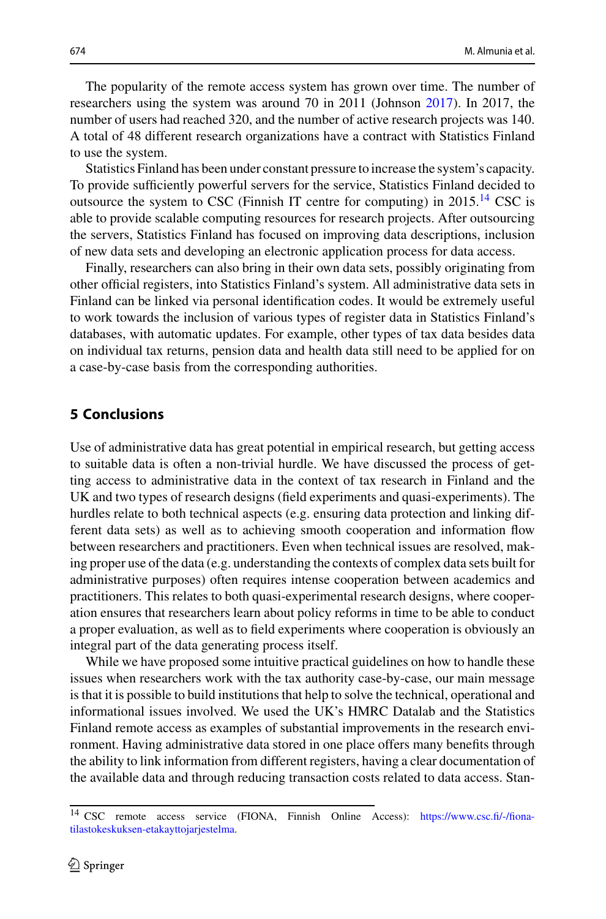The popularity of the remote access system has grown over time. The number of researchers using the system was around 70 in 2011 (Johnson [2017\)](#page-15-11). In 2017, the number of users had reached 320, and the number of active research projects was 140. A total of 48 different research organizations have a contract with Statistics Finland to use the system.

Statistics Finland has been under constant pressure to increase the system's capacity. To provide sufficiently powerful servers for the service, Statistics Finland decided to outsource the system to CSC (Finnish IT centre for computing) in  $2015<sup>14</sup>$  CSC is able to provide scalable computing resources for research projects. After outsourcing the servers, Statistics Finland has focused on improving data descriptions, inclusion of new data sets and developing an electronic application process for data access.

Finally, researchers can also bring in their own data sets, possibly originating from other official registers, into Statistics Finland's system. All administrative data sets in Finland can be linked via personal identification codes. It would be extremely useful to work towards the inclusion of various types of register data in Statistics Finland's databases, with automatic updates. For example, other types of tax data besides data on individual tax returns, pension data and health data still need to be applied for on a case-by-case basis from the corresponding authorities.

# **5 Conclusions**

Use of administrative data has great potential in empirical research, but getting access to suitable data is often a non-trivial hurdle. We have discussed the process of getting access to administrative data in the context of tax research in Finland and the UK and two types of research designs (field experiments and quasi-experiments). The hurdles relate to both technical aspects (e.g. ensuring data protection and linking different data sets) as well as to achieving smooth cooperation and information flow between researchers and practitioners. Even when technical issues are resolved, making proper use of the data (e.g. understanding the contexts of complex data sets built for administrative purposes) often requires intense cooperation between academics and practitioners. This relates to both quasi-experimental research designs, where cooperation ensures that researchers learn about policy reforms in time to be able to conduct a proper evaluation, as well as to field experiments where cooperation is obviously an integral part of the data generating process itself.

While we have proposed some intuitive practical guidelines on how to handle these issues when researchers work with the tax authority case-by-case, our main message is that it is possible to build institutions that help to solve the technical, operational and informational issues involved. We used the UK's HMRC Datalab and the Statistics Finland remote access as examples of substantial improvements in the research environment. Having administrative data stored in one place offers many benefits through the ability to link information from different registers, having a clear documentation of the available data and through reducing transaction costs related to data access. Stan-

<span id="page-13-0"></span><sup>14</sup> [CSC remote access service \(FIONA, Finnish Online Access\):](https://www.csc.fi/-/fiona-tilastokeskuksen-etakayttojarjestelma) https://www.csc.fi/-/fionatilastokeskuksen-etakayttojarjestelma.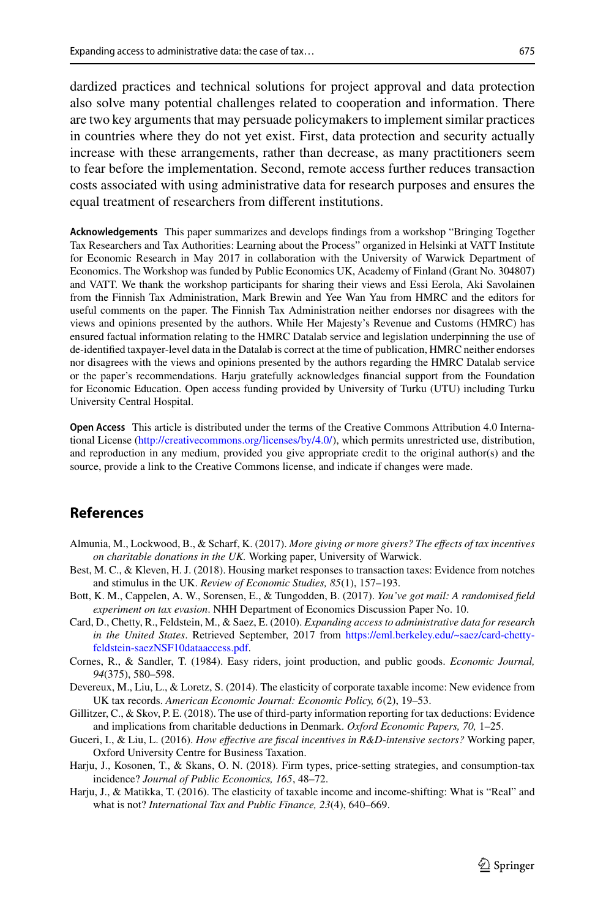dardized practices and technical solutions for project approval and data protection also solve many potential challenges related to cooperation and information. There are two key arguments that may persuade policymakers to implement similar practices in countries where they do not yet exist. First, data protection and security actually increase with these arrangements, rather than decrease, as many practitioners seem to fear before the implementation. Second, remote access further reduces transaction costs associated with using administrative data for research purposes and ensures the equal treatment of researchers from different institutions.

**Acknowledgements** This paper summarizes and develops findings from a workshop "Bringing Together Tax Researchers and Tax Authorities: Learning about the Process" organized in Helsinki at VATT Institute for Economic Research in May 2017 in collaboration with the University of Warwick Department of Economics. The Workshop was funded by Public Economics UK, Academy of Finland (Grant No. 304807) and VATT. We thank the workshop participants for sharing their views and Essi Eerola, Aki Savolainen from the Finnish Tax Administration, Mark Brewin and Yee Wan Yau from HMRC and the editors for useful comments on the paper. The Finnish Tax Administration neither endorses nor disagrees with the views and opinions presented by the authors. While Her Majesty's Revenue and Customs (HMRC) has ensured factual information relating to the HMRC Datalab service and legislation underpinning the use of de-identified taxpayer-level data in the Datalab is correct at the time of publication, HMRC neither endorses nor disagrees with the views and opinions presented by the authors regarding the HMRC Datalab service or the paper's recommendations. Harju gratefully acknowledges financial support from the Foundation for Economic Education. Open access funding provided by University of Turku (UTU) including Turku University Central Hospital.

**Open Access** This article is distributed under the terms of the Creative Commons Attribution 4.0 International License [\(http://creativecommons.org/licenses/by/4.0/\)](http://creativecommons.org/licenses/by/4.0/), which permits unrestricted use, distribution, and reproduction in any medium, provided you give appropriate credit to the original author(s) and the source, provide a link to the Creative Commons license, and indicate if changes were made.

# **References**

- <span id="page-14-5"></span>Almunia, M., Lockwood, B., & Scharf, K. (2017). *More giving or more givers? The effects of tax incentives on charitable donations in the UK.* Working paper, University of Warwick.
- <span id="page-14-6"></span>Best, M. C., & Kleven, H. J. (2018). Housing market responses to transaction taxes: Evidence from notches and stimulus in the UK. *Review of Economic Studies, 85*(1), 157–193.
- <span id="page-14-2"></span>Bott, K. M., Cappelen, A. W., Sorensen, E., & Tungodden, B. (2017). *You've got mail: A randomised field experiment on tax evasion*. NHH Department of Economics Discussion Paper No. 10.
- <span id="page-14-0"></span>Card, D., Chetty, R., Feldstein, M., & Saez, E. (2010). *Expanding access to administrative data for research in the United States*. Retrieved September, 2017 from [https://eml.berkeley.edu/~saez/card-chetty](https://eml.berkeley.edu/%7esaez/card-chetty-feldstein-saezNSF10dataaccess.pdf)feldstein-saezNSF10dataaccess.pdf.
- <span id="page-14-9"></span>Cornes, R., & Sandler, T. (1984). Easy riders, joint production, and public goods. *Economic Journal, 94*(375), 580–598.
- <span id="page-14-3"></span>Devereux, M., Liu, L., & Loretz, S. (2014). The elasticity of corporate taxable income: New evidence from UK tax records. *American Economic Journal: Economic Policy, 6*(2), 19–53.
- <span id="page-14-1"></span>Gillitzer, C., & Skov, P. E. (2018). The use of third-party information reporting for tax deductions: Evidence and implications from charitable deductions in Denmark. *Oxford Economic Papers, 70,* 1–25.
- <span id="page-14-7"></span>Guceri, I., & Liu, L. (2016). *How effective are fiscal incentives in R&D*-*intensive sectors?* Working paper, Oxford University Centre for Business Taxation.
- <span id="page-14-8"></span>Harju, J., Kosonen, T., & Skans, O. N. (2018). Firm types, price-setting strategies, and consumption-tax incidence? *Journal of Public Economics, 165*, 48–72.
- <span id="page-14-4"></span>Harju, J., & Matikka, T. (2016). The elasticity of taxable income and income-shifting: What is "Real" and what is not? *International Tax and Public Finance, 23*(4), 640–669.